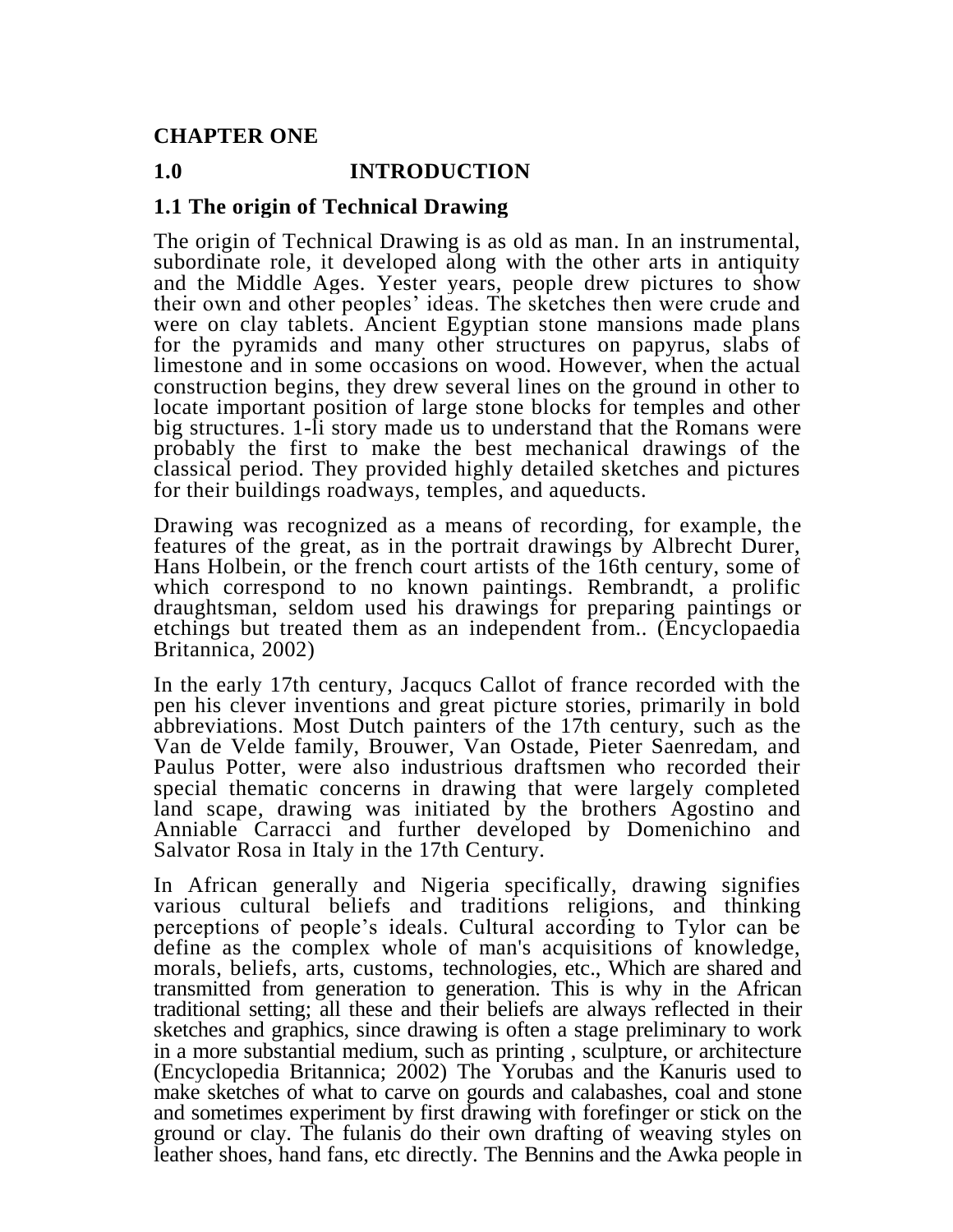#### **CHAPTER ONE**

#### **1.0 INTRODUCTION**

#### **1.1 The origin of Technical Drawing**

The origin of Technical Drawing is as old as man. In an instrumental, subordinate role, it developed along with the other arts in antiquity and the Middle Ages. Yester years, people drew pictures to show their own and other peoples' ideas. The sketches then were crude and were on clay tablets. Ancient Egyptian stone mansions made plans for the pyramids and many other structures on papyrus, slabs of limestone and in some occasions on wood. However, when the actual construction begins, they drew several lines on the ground in other to locate important position of large stone blocks for temples and other big structures. 1-li story made us to understand that the Romans were probably the first to make the best mechanical drawings of the classical period. They provided highly detailed sketches and pictures for their buildings roadways, temples, and aqueducts.

Drawing was recognized as a means of recording, for example, the features of the great, as in the portrait drawings by Albrecht Durer, Hans Holbein, or the french court artists of the 16th century, some of which correspond to no known paintings. Rembrandt, a prolific draughtsman, seldom used his drawings for preparing paintings or etchings but treated them as an independent from.. (Encyclopaedia Britannica, 2002)

In the early 17th century, Jacqucs Callot of france recorded with the pen his clever inventions and great picture stories, primarily in bold abbreviations. Most Dutch painters of the 17th century, such as the Van de Velde family, Brouwer, Van Ostade, Pieter Saenredam, and Paulus Potter, were also industrious draftsmen who recorded their special thematic concerns in drawing that were largely completed land scape, drawing was initiated by the brothers Agostino and Anniable Carracci and further developed by Domenichino and Salvator Rosa in Italy in the 17th Century.

In African generally and Nigeria specifically, drawing signifies various cultural beliefs and traditions religions, and thinking perceptions of people's ideals. Cultural according to Tylor can be define as the complex whole of man's acquisitions of knowledge, morals, beliefs, arts, customs, technologies, etc., Which are shared and transmitted from generation to generation. This is why in the African traditional setting; all these and their beliefs are always reflected in their sketches and graphics, since drawing is often a stage preliminary to work in a more substantial medium, such as printing , sculpture, or architecture (Encyclopedia Britannica; 2002) The Yorubas and the Kanuris used to make sketches of what to carve on gourds and calabashes, coal and stone and sometimes experiment by first drawing with forefinger or stick on the ground or clay. The fulanis do their own drafting of weaving styles on leather shoes, hand fans, etc directly. The Bennins and the Awka people in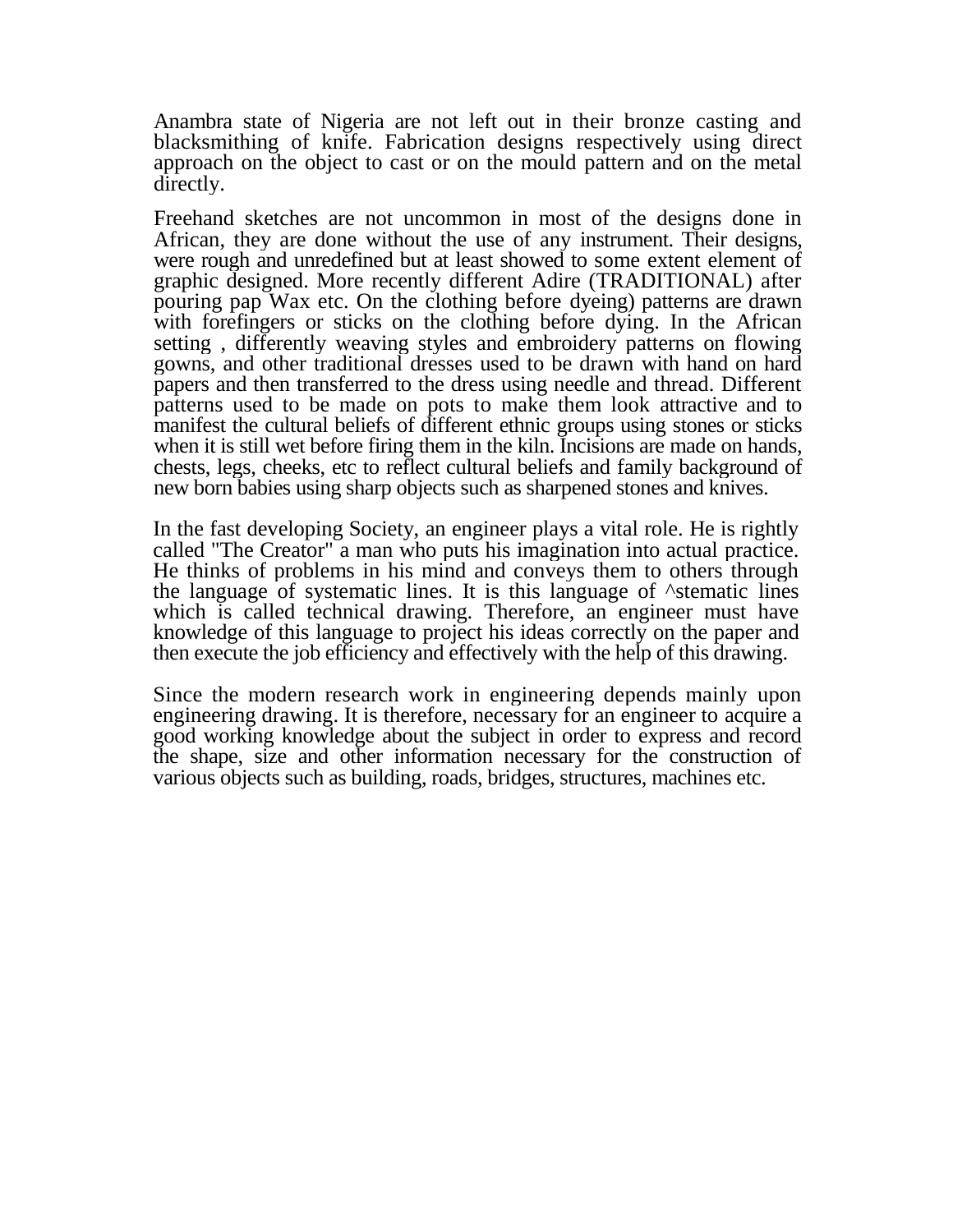Anambra state of Nigeria are not left out in their bronze casting and blacksmithing of knife. Fabrication designs respectively using direct approach on the object to cast or on the mould pattern and on the metal directly.

Freehand sketches are not uncommon in most of the designs done in African, they are done without the use of any instrument. Their designs, were rough and unredefined but at least showed to some extent element of graphic designed. More recently different Adire (TRADITIONAL) after pouring pap Wax etc. On the clothing before dyeing) patterns are drawn with forefingers or sticks on the clothing before dying. In the African setting , differently weaving styles and embroidery patterns on flowing gowns, and other traditional dresses used to be drawn with hand on hard papers and then transferred to the dress using needle and thread. Different patterns used to be made on pots to make them look attractive and to manifest the cultural beliefs of different ethnic groups using stones or sticks when it is still wet before firing them in the kiln. Incisions are made on hands, chests, legs, cheeks, etc to reflect cultural beliefs and family background of new born babies using sharp objects such as sharpened stones and knives.

In the fast developing Society, an engineer plays a vital role. He is rightly called "The Creator" a man who puts his imagination into actual practice. He thinks of problems in his mind and conveys them to others through the language of systematic lines. It is this language of ^stematic lines which is called technical drawing. Therefore, an engineer must have knowledge of this language to project his ideas correctly on the paper and then execute the job efficiency and effectively with the help of this drawing.

Since the modern research work in engineering depends mainly upon engineering drawing. It is therefore, necessary for an engineer to acquire a good working knowledge about the subject in order to express and record the shape, size and other information necessary for the construction of various objects such as building, roads, bridges, structures, machines etc.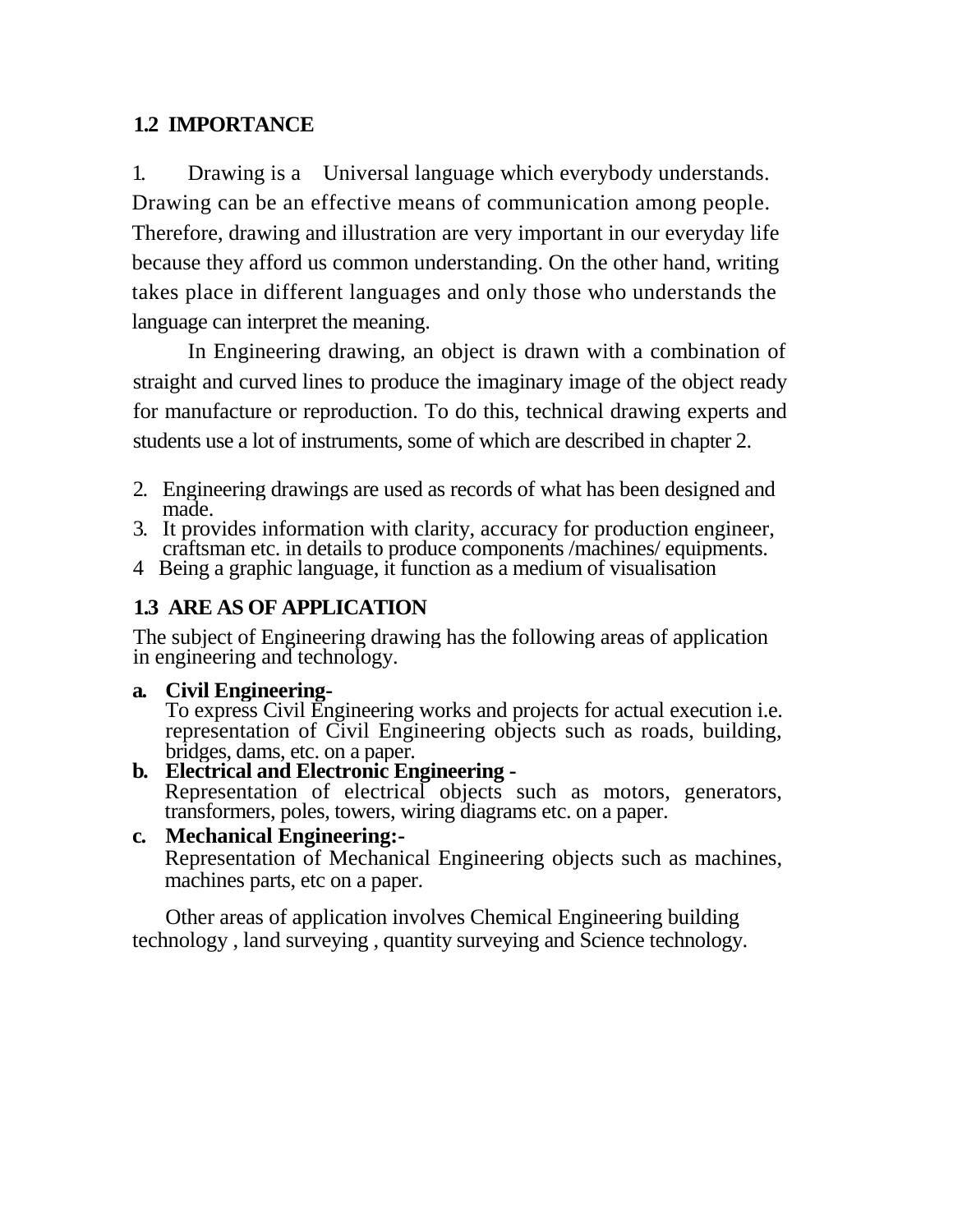## **1.2 IMPORTANCE**

1. Drawing is a Universal language which everybody understands. Drawing can be an effective means of communication among people. Therefore, drawing and illustration are very important in our everyday life because they afford us common understanding. On the other hand, writing takes place in different languages and only those who understands the language can interpret the meaning.

In Engineering drawing, an object is drawn with a combination of straight and curved lines to produce the imaginary image of the object ready for manufacture or reproduction. To do this, technical drawing experts and students use a lot of instruments, some of which are described in chapter 2.

- 2. Engineering drawings are used as records of what has been designed and made.
- 3. It provides information with clarity, accuracy for production engineer, craftsman etc. in details to produce components /machines/ equipments.
- 4 Being a graphic language, it function as a medium of visualisation

# **1.3 ARE AS OF APPLICATION**

The subject of Engineering drawing has the following areas of application in engineering and technology.

## **a. Civil Engineering-**

To express Civil Engineering works and projects for actual execution i.e. representation of Civil Engineering objects such as roads, building, bridges, dams, etc. on a paper.

- **b. Electrical and Electronic Engineering -** Representation of electrical objects such as motors, generators, transformers, poles, towers, wiring diagrams etc. on a paper.
- **c. Mechanical Engineering:-**

Representation of Mechanical Engineering objects such as machines, machines parts, etc on a paper.

Other areas of application involves Chemical Engineering building technology , land surveying , quantity surveying and Science technology.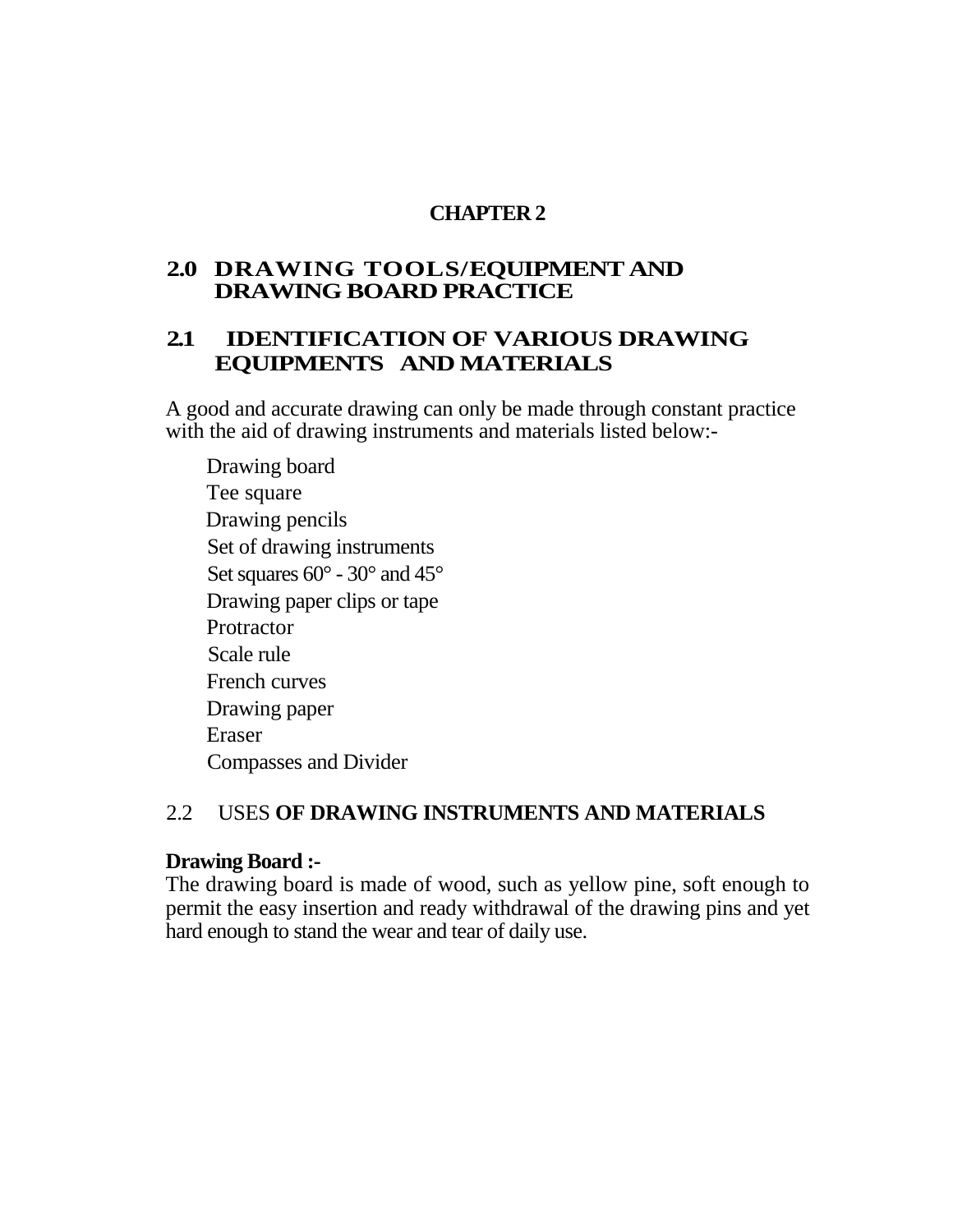## **CHAPTER 2**

## **2.0 DRAWING TOOLS/EQUIPMENT AND DRAWING BOARD PRACTICE**

## **2.1 IDENTIFICATION OF VARIOUS DRAWING EQUIPMENTS AND MATERIALS**

A good and accurate drawing can only be made through constant practice with the aid of drawing instruments and materials listed below:-

Drawing board Tee square Drawing pencils Set of drawing instruments Set squares 60° - 30° and 45° Drawing paper clips or tape **Protractor** Scale rule French curves Drawing paper Eraser Compasses and Divider

## 2.2 USES **OF DRAWING INSTRUMENTS AND MATERIALS**

#### **Drawing Board :-**

The drawing board is made of wood, such as yellow pine, soft enough to permit the easy insertion and ready withdrawal of the drawing pins and yet hard enough to stand the wear and tear of daily use.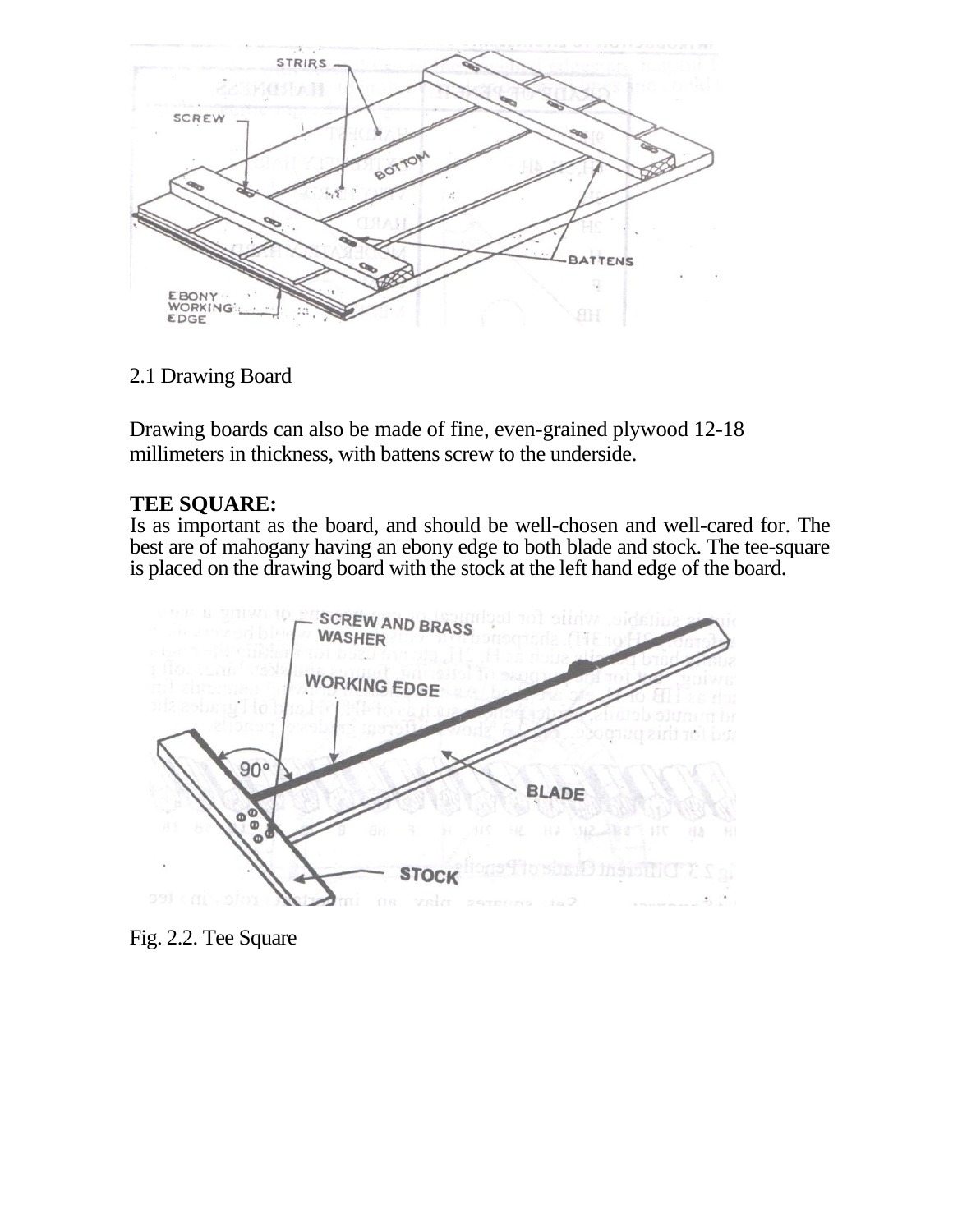

2.1 Drawing Board

Drawing boards can also be made of fine, even-grained plywood 12-18 millimeters in thickness, with battens screw to the underside.

# **TEE SQUARE:**

Is as important as the board, and should be well-chosen and well-cared for. The best are of mahogany having an ebony edge to both blade and stock. The tee-square is placed on the drawing board with the stock at the left hand edge of the board.



Fig. 2.2. Tee Square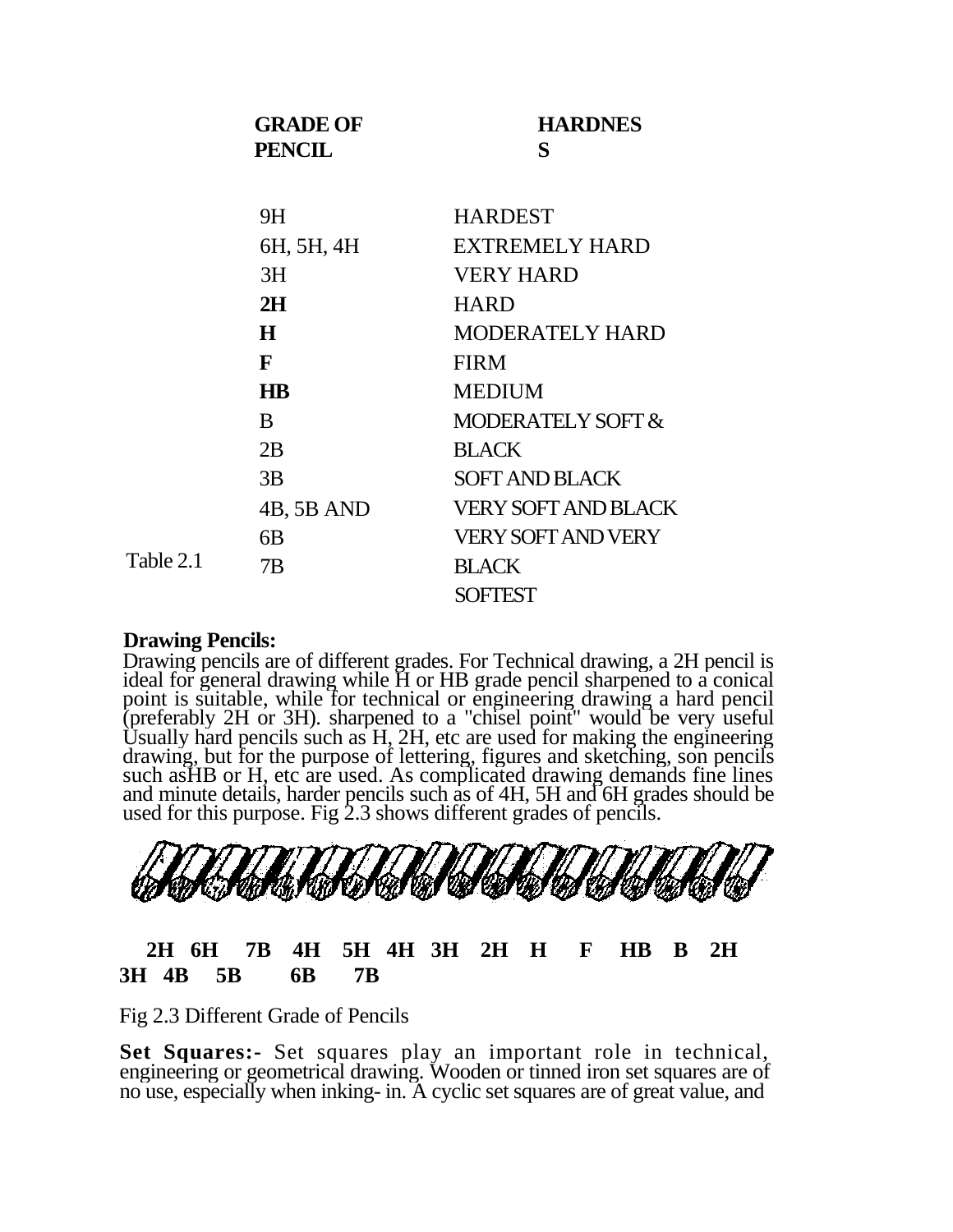|           | <b>GRADE OF</b><br><b>PENCIL</b> | <b>HARDNES</b><br>S        |
|-----------|----------------------------------|----------------------------|
|           | 9H                               | <b>HARDEST</b>             |
|           | 6H, 5H, 4H                       | <b>EXTREMELY HARD</b>      |
|           | 3H                               | <b>VERY HARD</b>           |
|           | 2H                               | <b>HARD</b>                |
|           | H                                | <b>MODERATELY HARD</b>     |
|           | F                                | <b>FIRM</b>                |
|           | $\overline{HB}$                  | <b>MEDIUM</b>              |
|           | B                                | MODERATELY SOFT &          |
|           | 2B                               | <b>BLACK</b>               |
|           | 3B                               | SOFT AND BLACK             |
|           | 4B, 5B AND                       | <b>VERY SOFT AND BLACK</b> |
|           | 6B                               | <b>VERY SOFT AND VERY</b>  |
| Table 2.1 | 7Β                               | <b>BLACK</b>               |
|           |                                  | <b>SOFTEST</b>             |

#### **Drawing Pencils:**

Drawing pencils are of different grades. For Technical drawing, a 2H pencil is ideal for general drawing while H or HB grade pencil sharpened to a conical point is suitable, while for technical or engineering drawing a hard pencil (preferably 2H or 3H). sharpened to a "chisel point" would be very useful Usually hard pencils such as H, 2H, etc are used for making the engineering drawing, but for the purpose of lettering, figures and sketching, son pencils such asHB or H, etc are used. As complicated drawing demands fine lines and minute details, harder pencils such as of 4H, 5H and 6H grades should be used for this purpose. Fig 2.3 shows different grades of pencils.



## **2H 6H 7B 4H 5H 4H 3H 2H H F HB B 2H 3H 4B 5B 6B 7B**

Fig 2.3 Different Grade of Pencils

**Set Squares:-** Set squares play an important role in technical, engineering or geometrical drawing. Wooden or tinned iron set squares are of no use, especially when inking- in. A cyclic set squares are of great value, and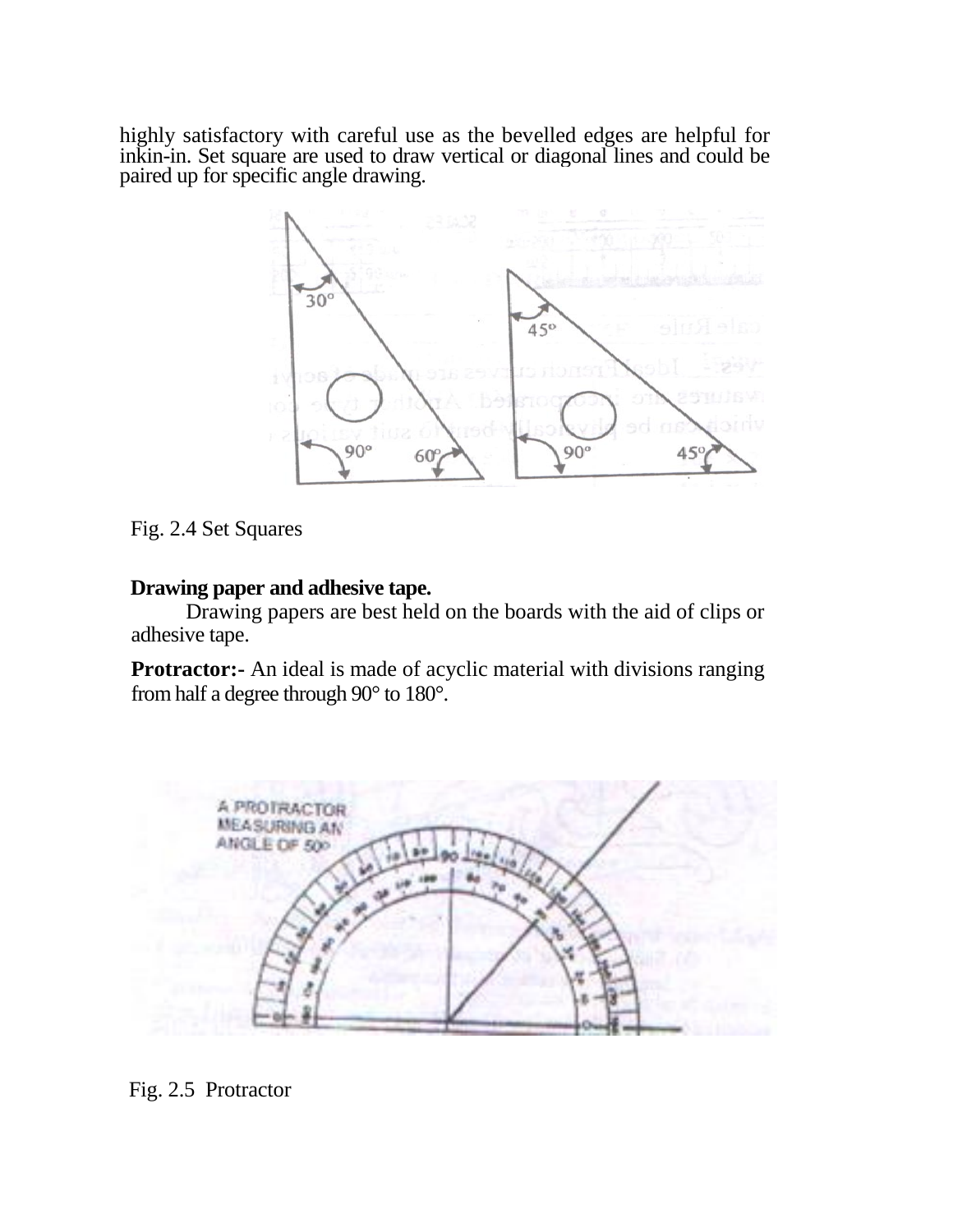highly satisfactory with careful use as the bevelled edges are helpful for inkin-in. Set square are used to draw vertical or diagonal lines and could be paired up for specific angle drawing.



#### Fig. 2.4 Set Squares

#### **Drawing paper and adhesive tape.**

Drawing papers are best held on the boards with the aid of clips or adhesive tape.

**Protractor:**- An ideal is made of acyclic material with divisions ranging from half a degree through 90° to 180°.



Fig. 2.5 Protractor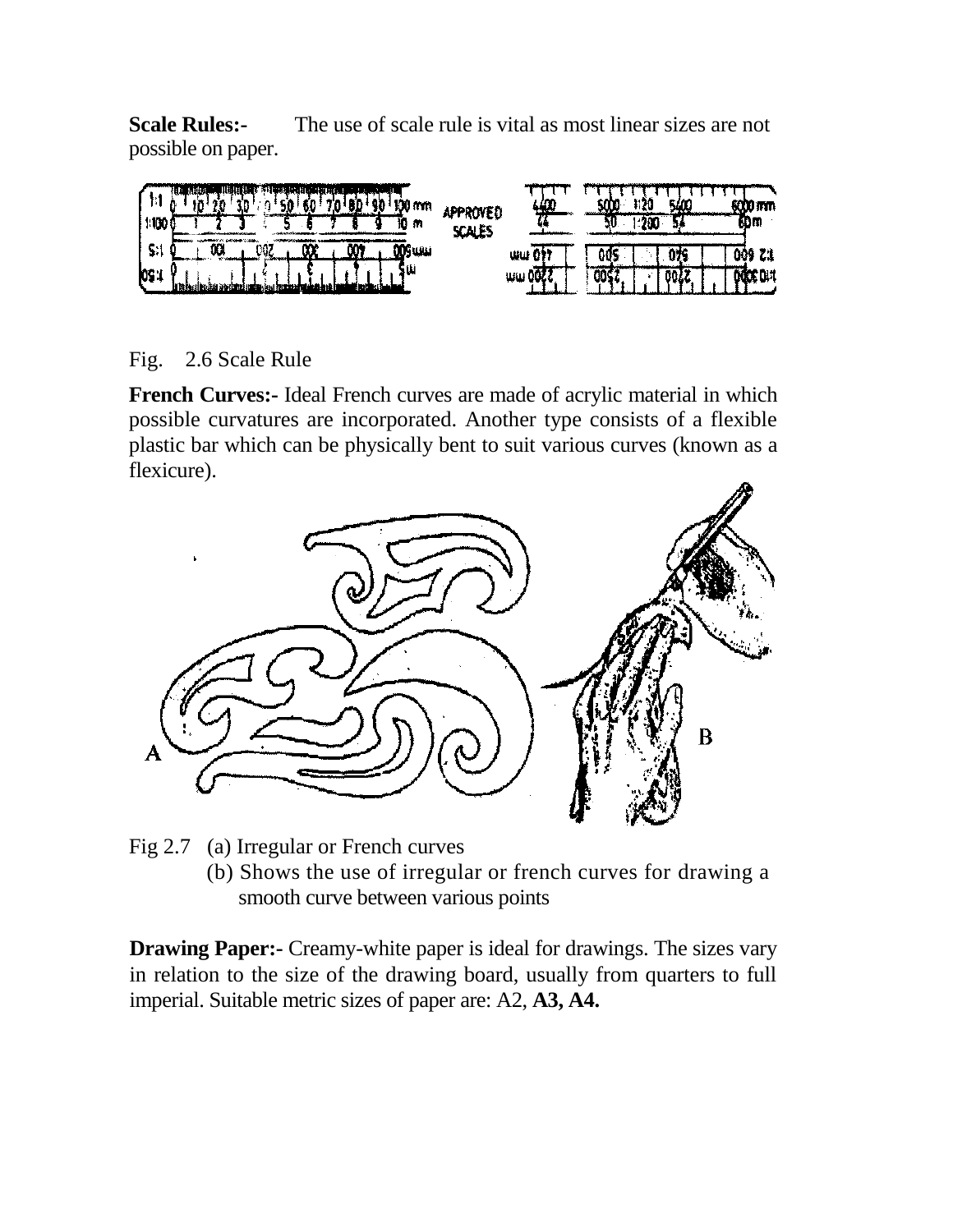**Scale Rules:-** The use of scale rule is vital as most linear sizes are not possible on paper.

| 糖肥<br>机具<br>l۵<br>1100<br>m<br>Ю                                                                                                                 | 492<br><b>APPROVED</b><br>SCALES | ¢Ν<br>.            | ស្នាព                     |
|--------------------------------------------------------------------------------------------------------------------------------------------------|----------------------------------|--------------------|---------------------------|
| - 33<br>œ<br>m<br>S:I<br><b>MG</b> ເມມ<br>۷Π.<br><b><i><u>Contractor</u></i></b><br><b>March 2013</b><br>iЩ<br>0\$ .<br><b>The State Company</b> | لمائلا<br>W⊎                     | \$100,000.00<br>ma | 009 Z1<br><b>DOCK DIT</b> |

## Fig. 2.6 Scale Rule

**French Curves:-** Ideal French curves are made of acrylic material in which possible curvatures are incorporated. Another type consists of a flexible plastic bar which can be physically bent to suit various curves (known as a flexicure).



- Fig 2.7 (a) Irregular or French curves
	- (b) Shows the use of irregular or french curves for drawing a smooth curve between various points

**Drawing Paper:-** Creamy-white paper is ideal for drawings. The sizes vary in relation to the size of the drawing board, usually from quarters to full imperial. Suitable metric sizes of paper are: A2, **A3, A4.**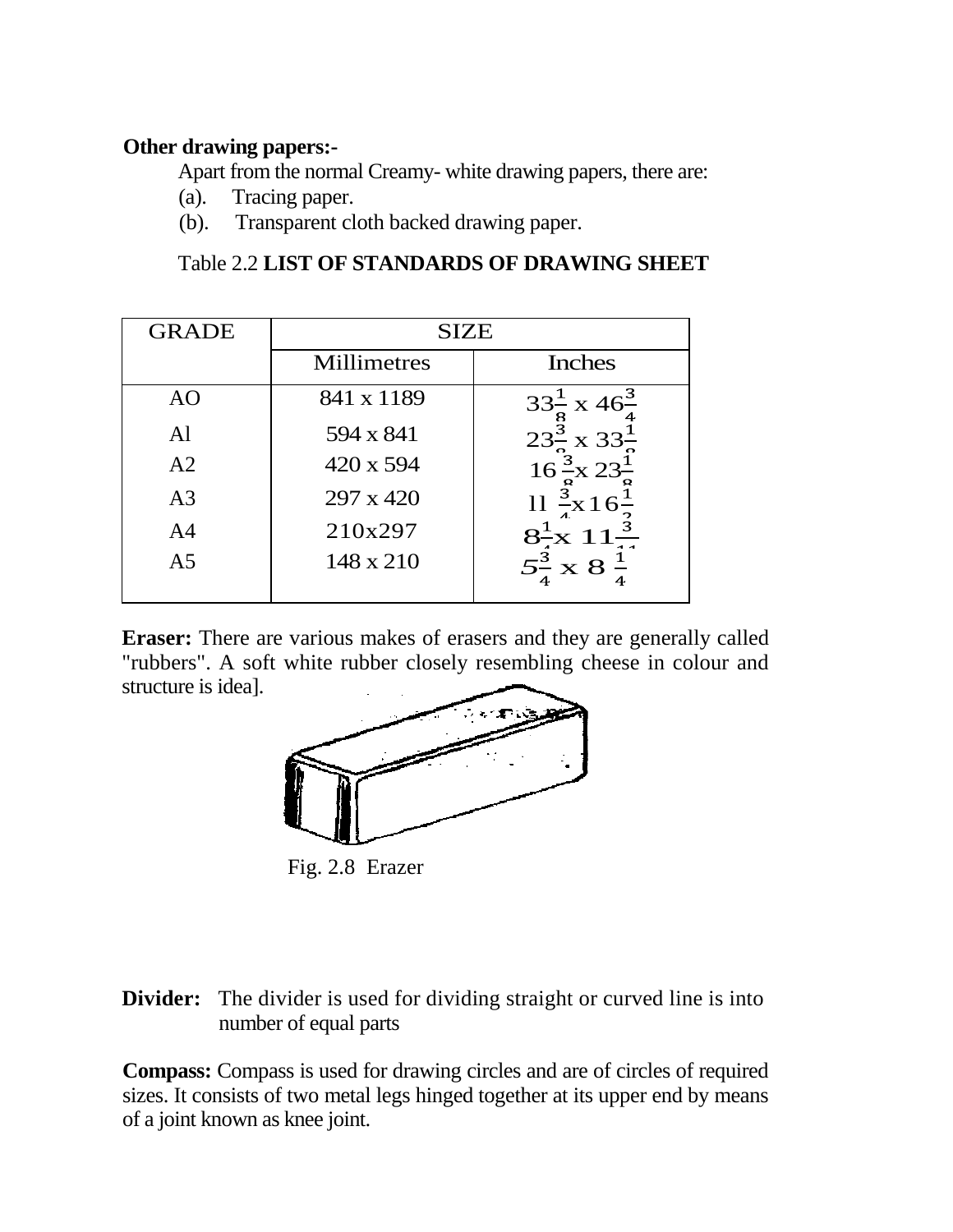## **Other drawing papers:-**

Apart from the normal Creamy- white drawing papers, there are:

- (a). Tracing paper.
- (b). Transparent cloth backed drawing paper.

Table 2.2 **LIST OF STANDARDS OF DRAWING SHEET**

| <b>GRADE</b>   | <b>SIZE</b>        |                                            |  |
|----------------|--------------------|--------------------------------------------|--|
|                | <b>Millimetres</b> | <b>Inches</b>                              |  |
| AO             | 841 x 1189         | $33^{\frac{1}{2}} \times 46^{\frac{3}{2}}$ |  |
| A <sub>1</sub> | 594 x 841          | $23\frac{3}{2} \times 33\frac{1}{2}$       |  |
| A <sub>2</sub> | 420 x 594          | $16\frac{3}{6} \times 23\frac{1}{6}$       |  |
| A <sub>3</sub> | $297 \times 420$   | $11\frac{3}{7}x16\frac{1}{6}$              |  |
| A <sub>4</sub> | 210x297            | $8\frac{1}{2} \times 11\frac{3}{4}$        |  |
| A <sub>5</sub> | 148 x 210          | $5\frac{3}{4} \times 8$                    |  |
|                |                    |                                            |  |

**Eraser:** There are various makes of erasers and they are generally called "rubbers". A soft white rubber closely resembling cheese in colour and structure is idea].



Fig. 2.8 Erazer

**Divider:** The divider is used for dividing straight or curved line is into number of equal parts

**Compass:** Compass is used for drawing circles and are of circles of required sizes. It consists of two metal legs hinged together at its upper end by means of a joint known as knee joint.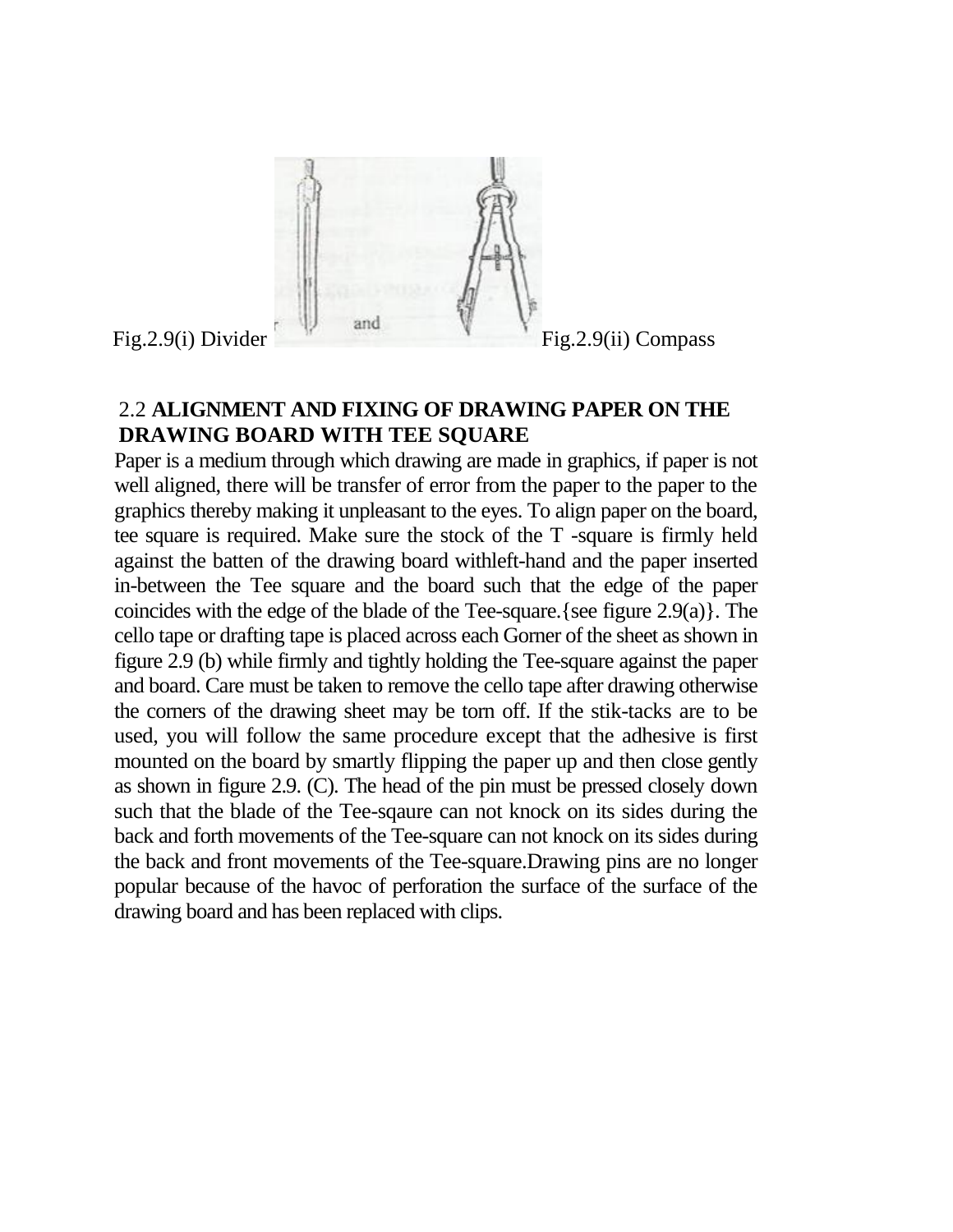

## 2.2 **ALIGNMENT AND FIXING OF DRAWING PAPER ON THE DRAWING BOARD WITH TEE SQUARE**

Paper is a medium through which drawing are made in graphics, if paper is not well aligned, there will be transfer of error from the paper to the paper to the graphics thereby making it unpleasant to the eyes. To align paper on the board, tee square is required. Make sure the stock of the T -square is firmly held against the batten of the drawing board withleft-hand and the paper inserted in-between the Tee square and the board such that the edge of the paper coincides with the edge of the blade of the Tee-square.{see figure 2.9(a)}. The cello tape or drafting tape is placed across each Gorner of the sheet as shown in figure 2.9 (b) while firmly and tightly holding the Tee-square against the paper and board. Care must be taken to remove the cello tape after drawing otherwise the corners of the drawing sheet may be torn off. If the stik-tacks are to be used, you will follow the same procedure except that the adhesive is first mounted on the board by smartly flipping the paper up and then close gently as shown in figure 2.9. (C). The head of the pin must be pressed closely down such that the blade of the Tee-sqaure can not knock on its sides during the back and forth movements of the Tee-square can not knock on its sides during the back and front movements of the Tee-square.Drawing pins are no longer popular because of the havoc of perforation the surface of the surface of the drawing board and has been replaced with clips.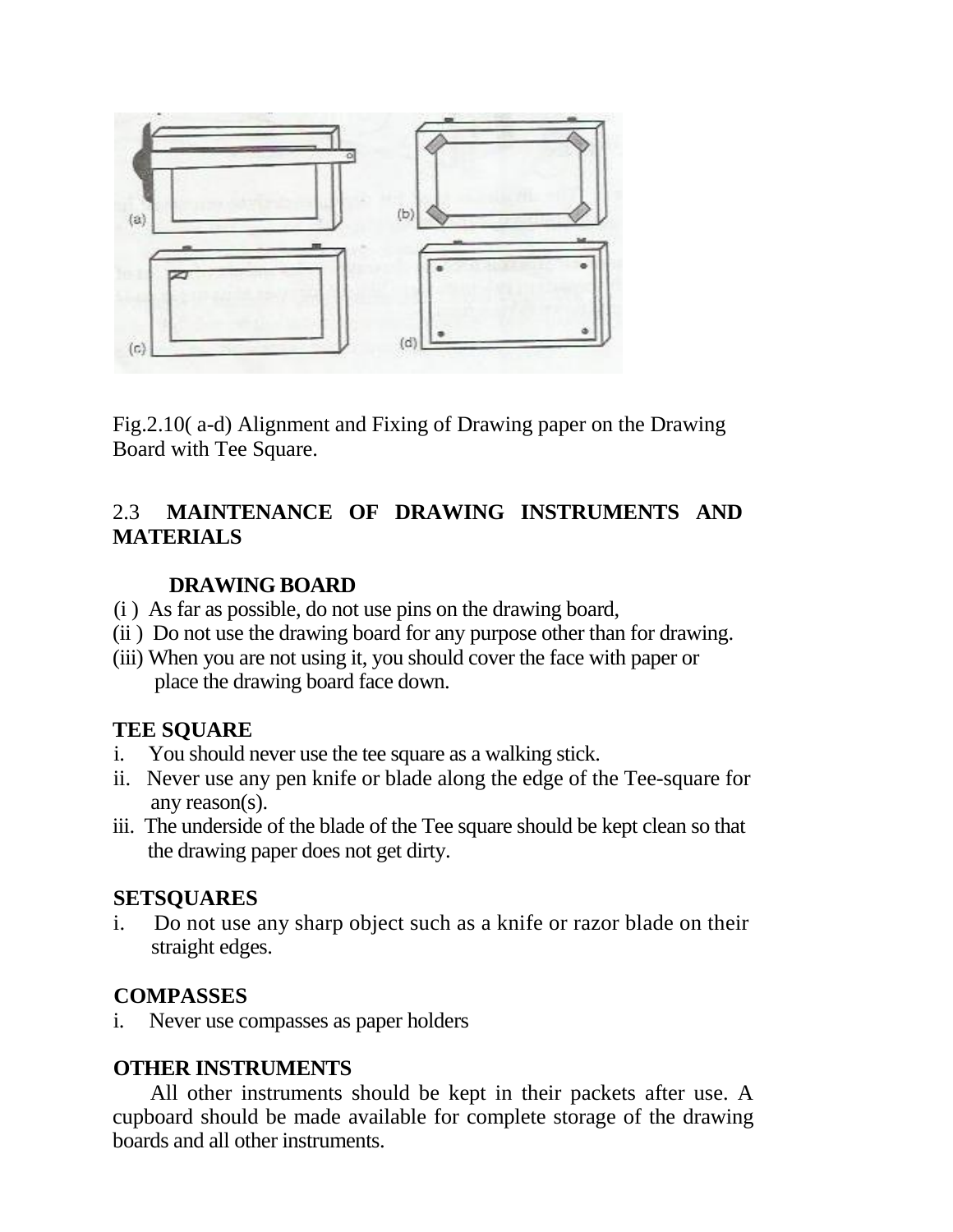

Fig.2.10( a-d) Alignment and Fixing of Drawing paper on the Drawing Board with Tee Square.

# 2.3 **MAINTENANCE OF DRAWING INSTRUMENTS AND MATERIALS**

## **DRAWING BOARD**

- (i ) As far as possible, do not use pins on the drawing board,
- (ii ) Do not use the drawing board for any purpose other than for drawing.
- (iii) When you are not using it, you should cover the face with paper or place the drawing board face down.

# **TEE SQUARE**

- i. You should never use the tee square as a walking stick.
- ii. Never use any pen knife or blade along the edge of the Tee-square for any reason(s).
- iii. The underside of the blade of the Tee square should be kept clean so that the drawing paper does not get dirty.

## **SETSQUARES**

i. Do not use any sharp object such as a knife or razor blade on their straight edges.

# **COMPASSES**

i. Never use compasses as paper holders

# **OTHER INSTRUMENTS**

All other instruments should be kept in their packets after use. A cupboard should be made available for complete storage of the drawing boards and all other instruments.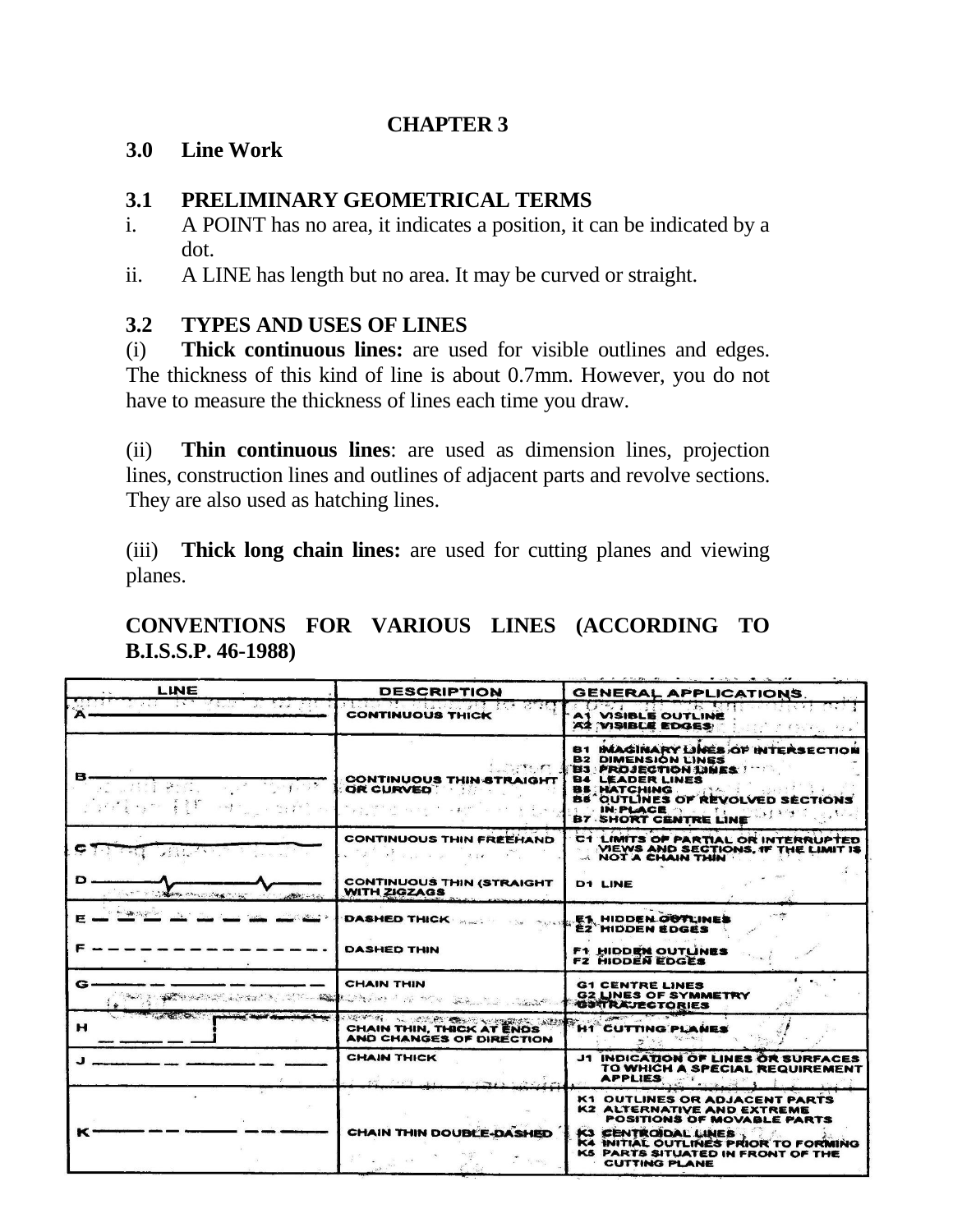#### **CHAPTER 3**

#### **3.0 Line Work**

#### **3.1 PRELIMINARY GEOMETRICAL TERMS**

- i. A POINT has no area, it indicates a position, it can be indicated by a dot.
- ii. A LINE has length but no area. It may be curved or straight.

#### **3.2 TYPES AND USES OF LINES**

(i) **Thick continuous lines:** are used for visible outlines and edges. The thickness of this kind of line is about 0.7mm. However, you do not have to measure the thickness of lines each time you draw.

(ii) **Thin continuous lines**: are used as dimension lines, projection lines, construction lines and outlines of adjacent parts and revolve sections. They are also used as hatching lines.

(iii) **Thick long chain lines:** are used for cutting planes and viewing planes.

## **CONVENTIONS FOR VARIOUS LINES (ACCORDING TO B.I.S.S.P. 46-1988)**

| LINE                                                                                                                                                                                                                                                    | <b>DESCRIPTION</b>                                                                                                                                                                                                                                                                             | <b>GENERAL APPLICATIONS.</b>                                                                                                                                                                                                        |
|---------------------------------------------------------------------------------------------------------------------------------------------------------------------------------------------------------------------------------------------------------|------------------------------------------------------------------------------------------------------------------------------------------------------------------------------------------------------------------------------------------------------------------------------------------------|-------------------------------------------------------------------------------------------------------------------------------------------------------------------------------------------------------------------------------------|
| ತಾರ್ಜಿ ನಿರ್ದೇಶಿಸಲಾಗಿ ಶಾ. ನಿರ್ದೇಶ್ವರ                                                                                                                                                                                                                     | RENEW METHEMOLY IN 1977 WIND<br><b>CONTINUOUS THICK</b>                                                                                                                                                                                                                                        | A OPA LINE TIK RIDORIAN<br>A1 VISIBLE OUTLINE<br>AT VISIBLE EDGES COMMUNICATION                                                                                                                                                     |
| a ang Pinanga<br>$\mathcal{L}_{\mathcal{A}}^{\mathcal{A}}$ , $\mathcal{L}_{\mathcal{A}}^{\mathcal{A}}$ , $\mathcal{L}_{\mathcal{A}}^{\mathcal{A}}$ , and a set of $\mathcal{L}_{\mathcal{A}}^{\mathcal{A}}$ , $\mathcal{L}_{\mathcal{A}}^{\mathcal{A}}$ | $\mathcal{L} = \mathcal{L} = \mathcal{L} = \mathcal{L} = \mathcal{L}$<br><b>CONTINUOUS THIN STRAIGHT</b><br>OR CURVED THE REAL PROPERTY.                                                                                                                                                       | <b>B1 INAGINARY LINES OF INTERSECTION</b><br><b>B2 DIMENSION LINES</b><br><b>B4 LEADER LINES</b><br><b>BS HATCHING.</b><br><b>BE OUTLINES OF REVOLVED SECTIONS</b><br><b>INFLACE</b> NETT<br>B7 SHORT CENTRE LINE                   |
|                                                                                                                                                                                                                                                         | <b>CONTINUOUS THIN FREEHAND</b><br>ఉన్ని అన్నారు. ఇండి కారు కొం                                                                                                                                                                                                                                | C1 LIMITS OF PARTIAL OR INTERRUPTED<br>VIEWS AND SECTIONS, IF THE LIMIT IS<br>$\mathbf{w}$ . $\mathbf{w}$<br><b>A NOT A CHAIN THIN </b>                                                                                             |
| WILD MANUS CONTRACT AND COMMITTEE AND COMMITTEE AND INCOME.                                                                                                                                                                                             | <b>CONTINUOUS THIN (STRAIGHT</b><br><b>WITH ZIGZAGS</b>                                                                                                                                                                                                                                        | D1 LINE                                                                                                                                                                                                                             |
|                                                                                                                                                                                                                                                         | <b>DASHED THICK Seat 1999</b> No. 1                                                                                                                                                                                                                                                            | E1 HIDDEN OUTLINES<br><b>EZ HIDDEN EDGES</b>                                                                                                                                                                                        |
|                                                                                                                                                                                                                                                         | <b>DASHED THIN</b>                                                                                                                                                                                                                                                                             | <b>F1 HIDDEN OUTLINES</b><br><b>F2 HIDDEN EDGES</b>                                                                                                                                                                                 |
| G-                                                                                                                                                                                                                                                      | <b>CHAIN THIN</b><br>Castron March 2000 - Andrew March 1995, 1996, 1996, 1996, 1996, 1997, 1998, 1998, 1998, 1999, 1999, 1999, 1999                                                                                                                                                            | <b>G1 CENTRE LINES</b><br><b>G2 LINES OF SYMMETRY</b><br><b>GISTRAJECTORIES</b>                                                                                                                                                     |
| н                                                                                                                                                                                                                                                       | A SERIES AND A STANDARD AND A STANDARD COMPANY COMPANY COMPANY COMPANY COMPANY COMPANY COMPANY COMPANY COMPANY COMPANY COMPANY COMPANY COMPANY COMPANY COMPANY COMPANY COMPANY COMPANY COMPANY COMPANY COMPANY COMPANY COMPANY<br><b>CHAIN THIN, THICK AT ENDS</b><br>AND CHANGES OF DIRECTION | <b>CONTRACTOR</b><br><b>H1 CUTTING PLANES</b><br>せいい アイー・キャッ                                                                                                                                                                        |
|                                                                                                                                                                                                                                                         | <b>CHAIN THICK</b>                                                                                                                                                                                                                                                                             | <b>J1 INDICATION OF LINES OR SURFACES</b><br>TO WHICH A SPECIAL REQUIREMENT<br><b>APPLIES</b>                                                                                                                                       |
|                                                                                                                                                                                                                                                         | <b>CHAIN THIN DOUBLE-DASHED</b>                                                                                                                                                                                                                                                                | K1 OUTLINES OR ADJACENT PARTS<br><b>K2 ALTERNATIVE AND EXTREME</b><br><b>POSITIONS OF MOVABLE PARTS</b><br>K3 CENTROIDAL LINES<br>K4 INITIAL OUTLINES PRIOR TO FORMING<br>K5 PARTS SITUATED IN FRONT OF THE<br><b>CUTTING PLANE</b> |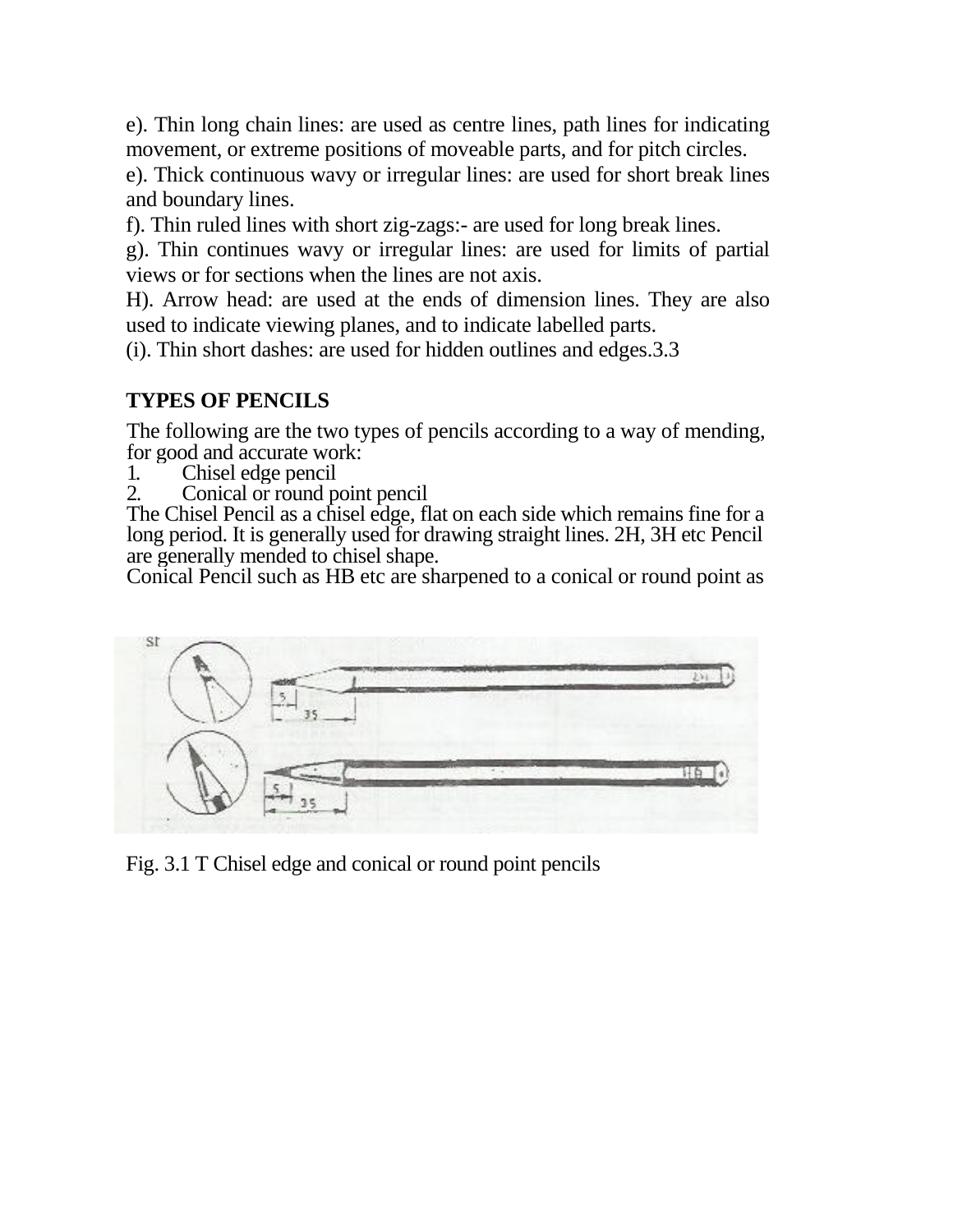e). Thin long chain lines: are used as centre lines, path lines for indicating movement, or extreme positions of moveable parts, and for pitch circles.

e). Thick continuous wavy or irregular lines: are used for short break lines and boundary lines.

f). Thin ruled lines with short zig-zags:- are used for long break lines.

g). Thin continues wavy or irregular lines: are used for limits of partial views or for sections when the lines are not axis.

H). Arrow head: are used at the ends of dimension lines. They are also used to indicate viewing planes, and to indicate labelled parts.

(i). Thin short dashes: are used for hidden outlines and edges.3.3

# **TYPES OF PENCILS**

The following are the two types of pencils according to a way of mending, for good and accurate work:

1. Chisel edge pencil

2. Conical or round point pencil

The Chisel Pencil as a chisel edge, flat on each side which remains fine for a long period. It is generally used for drawing straight lines. 2H, 3H etc Pencil are generally mended to chisel shape.

Conical Pencil such as HB etc are sharpened to a conical or round point as



Fig. 3.1 T Chisel edge and conical or round point pencils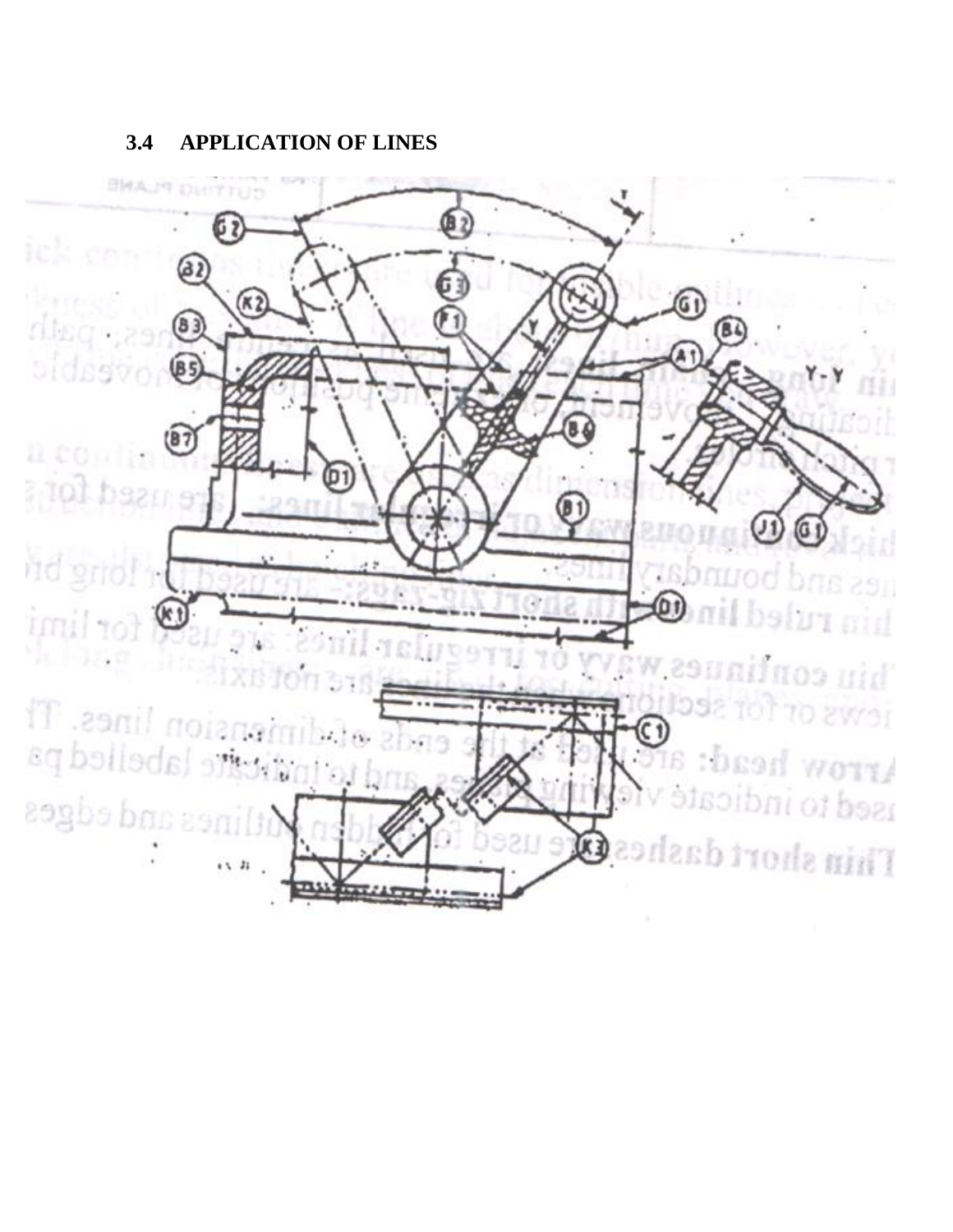#### **3.4 APPLICATION OF LINES**